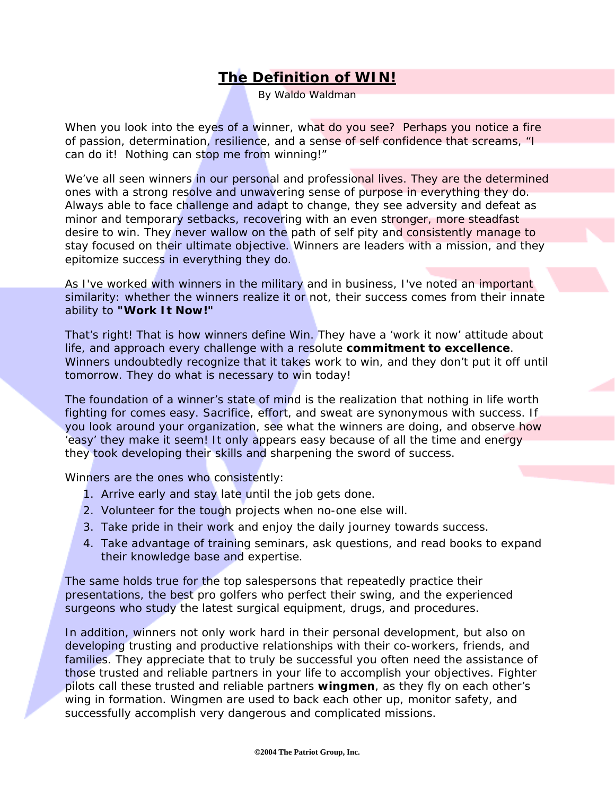## **The Definition of WIN!**

By Waldo Waldman

When you look into the eyes of a winner, what do you see? Perhaps you notice a fire of passion, determination, resilience, and a sense of self confidence that screams, "I can do it! Nothing can stop me from winning!"

We've all seen winners in our personal and professional lives. They are the determined ones with a strong resolve and unwavering sense of purpose in everything they do. Always able to face challenge and adapt to change, they see adversity and defeat as minor and temporary setbacks, recovering with an even stronger, more steadfast desire to win. They never wallow on the path of self pity and consistently manage to stay focused on their ultimate objective. Winners are leaders with a mission, and they epitomize success in everything they do.

As I've worked with winners in the military and in business, I've noted an important similarity: whether the winners realize it or not, their success comes from their innate ability to **"Work It Now!"**

That's right! That is how winners define Win. They have a 'work it now' attitude about life, and approach every challenge with a resolute **commitment to excellence**. Winners undoubtedly recognize that it takes work to win, and they don't put it off until tomorrow. They do what is necessary to win today!

The foundation of a winner's state of mind is the realization that nothing in life worth fighting for comes easy. Sacrifice, effort, and sweat are synonymous with success. If you look around your organization, see what the winners are doing, and observe how 'easy' they make it seem! It only appears easy because of all the time and energy they took developing their skills and sharpening the sword of success.

Winners are the ones who consistently:

- 1. Arrive early and stay late until the job gets done.
- 2. Volunteer for the tough projects when no-one else will.
- 3. Take pride in their work and enjoy the daily journey towards success.
- 4. Take advantage of training seminars, ask questions, and read books to expand their knowledge base and expertise.

The same holds true for the top salespersons that repeatedly practice their presentations, the best pro golfers who perfect their swing, and the experienced surgeons who study the latest surgical equipment, drugs, and procedures.

In addition, winners not only work hard in their personal development, but also on developing trusting and productive relationships with their co-workers, friends, and families. They appreciate that to truly be successful you often need the assistance of those trusted and reliable partners in your life to accomplish your objectives. Fighter pilots call these trusted and reliable partners **wingmen**, as they fly on each other's wing in formation. Wingmen are used to back each other up, monitor safety, and successfully accomplish very dangerous and complicated missions.